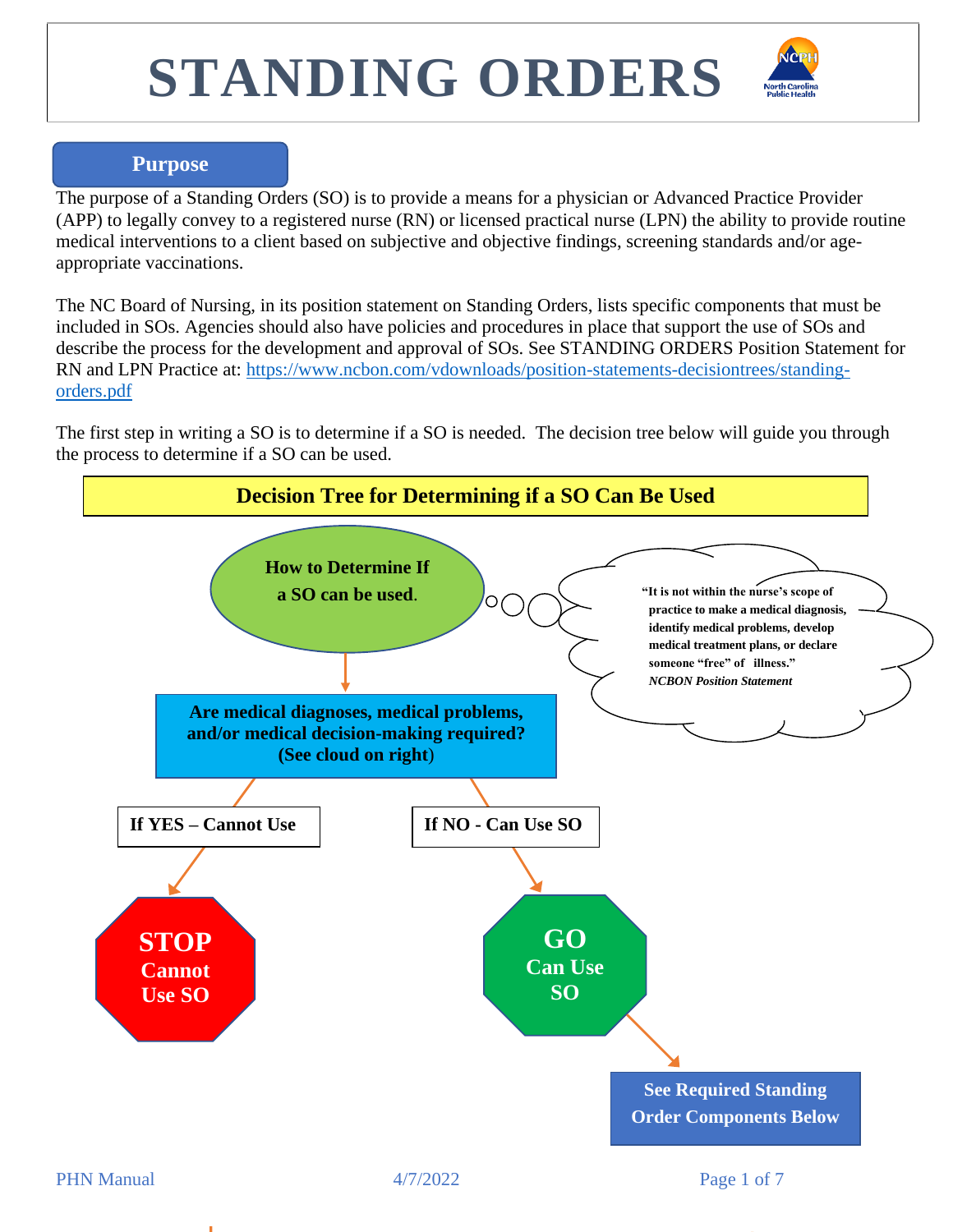

#### **Purpose**

The purpose of a Standing Orders (SO) is to provide a means for a physician or Advanced Practice Provider (APP) to legally convey to a registered nurse (RN) or licensed practical nurse (LPN) the ability to provide routine medical interventions to a client based on subjective and objective findings, screening standards and/or ageappropriate vaccinations.

The NC Board of Nursing, in its position statement on Standing Orders, lists specific components that must be included in SOs. Agencies should also have policies and procedures in place that support the use of SOs and describe the process for the development and approval of SOs. See STANDING ORDERS Position Statement for RN and LPN Practice at: [https://www.ncbon.com/vdownloads/position-statements-decisiontrees/standing](https://www.ncbon.com/vdownloads/position-statements-decisiontrees/standing-orders.pdf)[orders.pdf](https://www.ncbon.com/vdownloads/position-statements-decisiontrees/standing-orders.pdf)

The first step in writing a SO is to determine if a SO is needed. The decision tree below will guide you through the process to determine if a SO can be used.

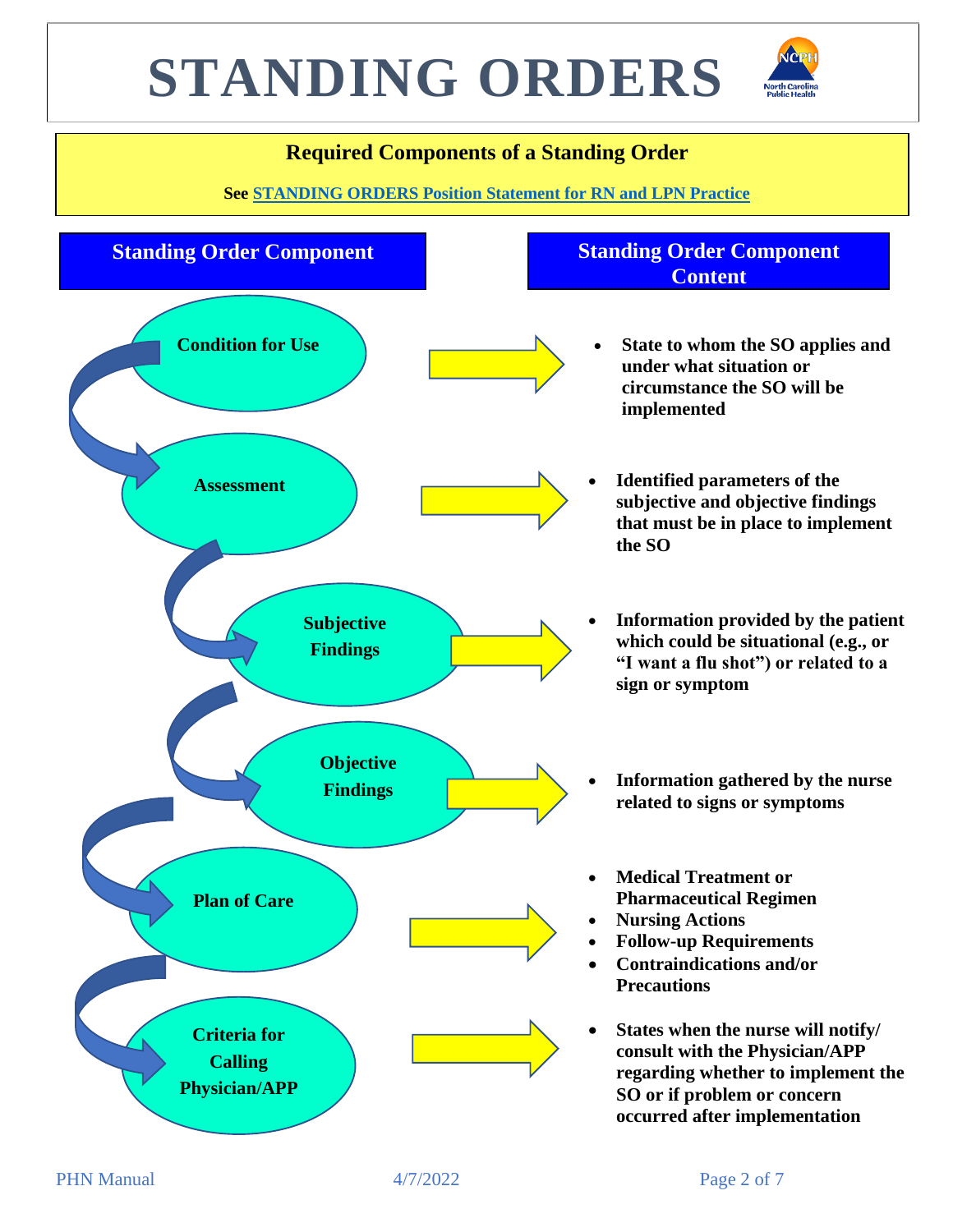

### **Required Components of a Standing Order**

**See [STANDING ORDERS Position Statement for RN and LPN Practice](https://www.ncbon.com/vdownloads/position-statements-decision-trees/standing-orders.pdf)** 

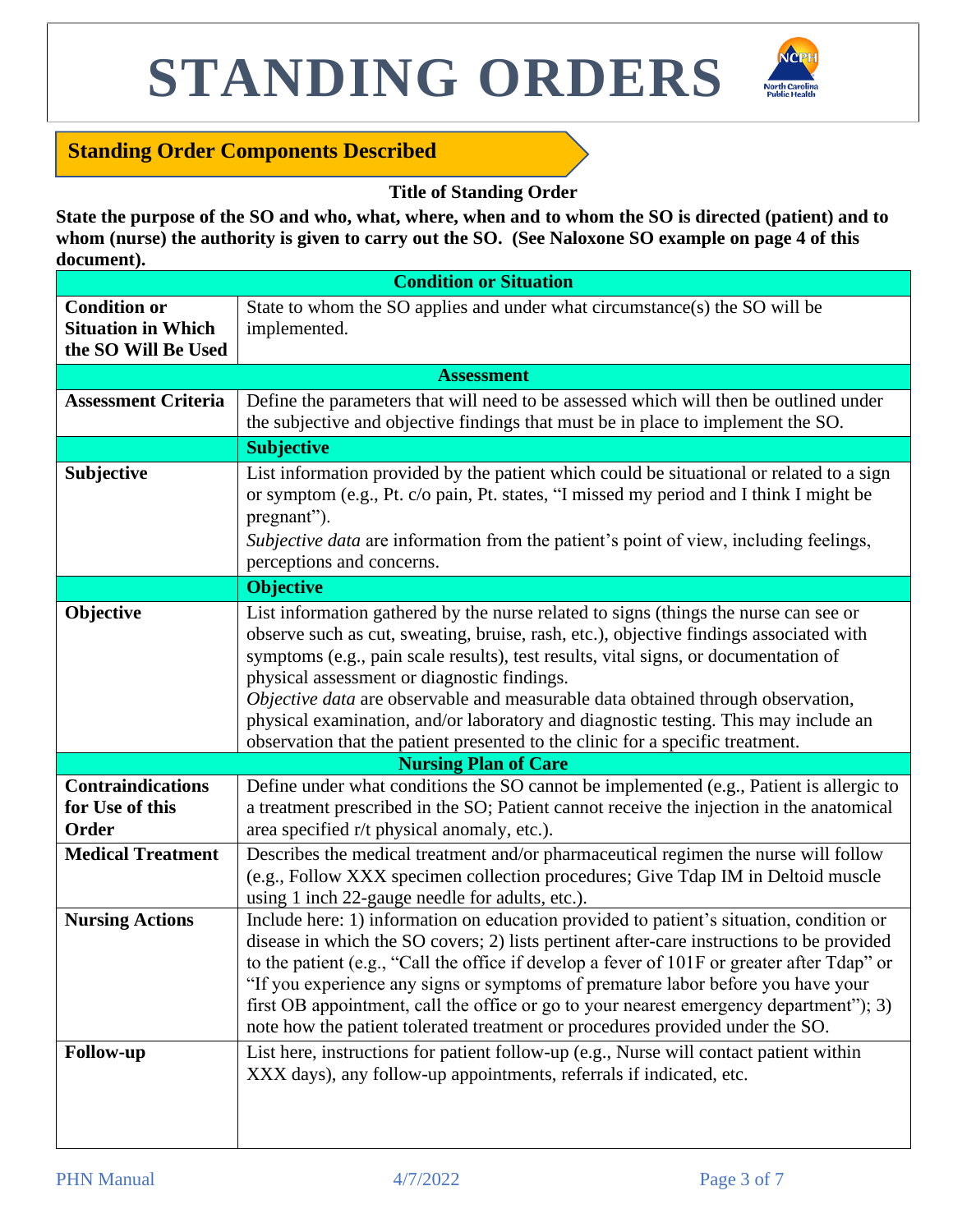

### **Standing Order Components Described**

#### **Title of Standing Order**

**State the purpose of the SO and who, what, where, when and to whom the SO is directed (patient) and to**  whom (nurse) the authority is given to carry out the SO. (See Naloxone SO example on page 4 of this **document).**

| <b>Condition or Situation</b> |                                                                                                                                                                                                                                                                                                                                                                                                                                                                                                                                                                                  |  |  |  |  |  |
|-------------------------------|----------------------------------------------------------------------------------------------------------------------------------------------------------------------------------------------------------------------------------------------------------------------------------------------------------------------------------------------------------------------------------------------------------------------------------------------------------------------------------------------------------------------------------------------------------------------------------|--|--|--|--|--|
| <b>Condition or</b>           | State to whom the SO applies and under what circumstance(s) the SO will be                                                                                                                                                                                                                                                                                                                                                                                                                                                                                                       |  |  |  |  |  |
| <b>Situation in Which</b>     | implemented.                                                                                                                                                                                                                                                                                                                                                                                                                                                                                                                                                                     |  |  |  |  |  |
| the SO Will Be Used           |                                                                                                                                                                                                                                                                                                                                                                                                                                                                                                                                                                                  |  |  |  |  |  |
|                               | <b>Assessment</b>                                                                                                                                                                                                                                                                                                                                                                                                                                                                                                                                                                |  |  |  |  |  |
| <b>Assessment Criteria</b>    | Define the parameters that will need to be assessed which will then be outlined under                                                                                                                                                                                                                                                                                                                                                                                                                                                                                            |  |  |  |  |  |
|                               | the subjective and objective findings that must be in place to implement the SO.                                                                                                                                                                                                                                                                                                                                                                                                                                                                                                 |  |  |  |  |  |
|                               | <b>Subjective</b>                                                                                                                                                                                                                                                                                                                                                                                                                                                                                                                                                                |  |  |  |  |  |
| Subjective                    | List information provided by the patient which could be situational or related to a sign<br>or symptom (e.g., Pt. c/o pain, Pt. states, "I missed my period and I think I might be<br>pregnant").                                                                                                                                                                                                                                                                                                                                                                                |  |  |  |  |  |
|                               | Subjective data are information from the patient's point of view, including feelings,<br>perceptions and concerns.                                                                                                                                                                                                                                                                                                                                                                                                                                                               |  |  |  |  |  |
|                               | <b>Objective</b>                                                                                                                                                                                                                                                                                                                                                                                                                                                                                                                                                                 |  |  |  |  |  |
| Objective                     | List information gathered by the nurse related to signs (things the nurse can see or<br>observe such as cut, sweating, bruise, rash, etc.), objective findings associated with<br>symptoms (e.g., pain scale results), test results, vital signs, or documentation of<br>physical assessment or diagnostic findings.<br>Objective data are observable and measurable data obtained through observation,<br>physical examination, and/or laboratory and diagnostic testing. This may include an<br>observation that the patient presented to the clinic for a specific treatment. |  |  |  |  |  |
|                               | <b>Nursing Plan of Care</b>                                                                                                                                                                                                                                                                                                                                                                                                                                                                                                                                                      |  |  |  |  |  |
| <b>Contraindications</b>      | Define under what conditions the SO cannot be implemented (e.g., Patient is allergic to                                                                                                                                                                                                                                                                                                                                                                                                                                                                                          |  |  |  |  |  |
| for Use of this               | a treatment prescribed in the SO; Patient cannot receive the injection in the anatomical                                                                                                                                                                                                                                                                                                                                                                                                                                                                                         |  |  |  |  |  |
| Order                         | area specified r/t physical anomaly, etc.).                                                                                                                                                                                                                                                                                                                                                                                                                                                                                                                                      |  |  |  |  |  |
| <b>Medical Treatment</b>      | Describes the medical treatment and/or pharmaceutical regimen the nurse will follow<br>(e.g., Follow XXX specimen collection procedures; Give Tdap IM in Deltoid muscle<br>using 1 inch 22-gauge needle for adults, etc.).                                                                                                                                                                                                                                                                                                                                                       |  |  |  |  |  |
| <b>Nursing Actions</b>        | Include here: 1) information on education provided to patient's situation, condition or<br>disease in which the SO covers; 2) lists pertinent after-care instructions to be provided<br>to the patient (e.g., "Call the office if develop a fever of 101F or greater after Tdap" or<br>"If you experience any signs or symptoms of premature labor before you have your<br>first OB appointment, call the office or go to your nearest emergency department"); 3)<br>note how the patient tolerated treatment or procedures provided under the SO.                               |  |  |  |  |  |
| <b>Follow-up</b>              | List here, instructions for patient follow-up (e.g., Nurse will contact patient within<br>XXX days), any follow-up appointments, referrals if indicated, etc.                                                                                                                                                                                                                                                                                                                                                                                                                    |  |  |  |  |  |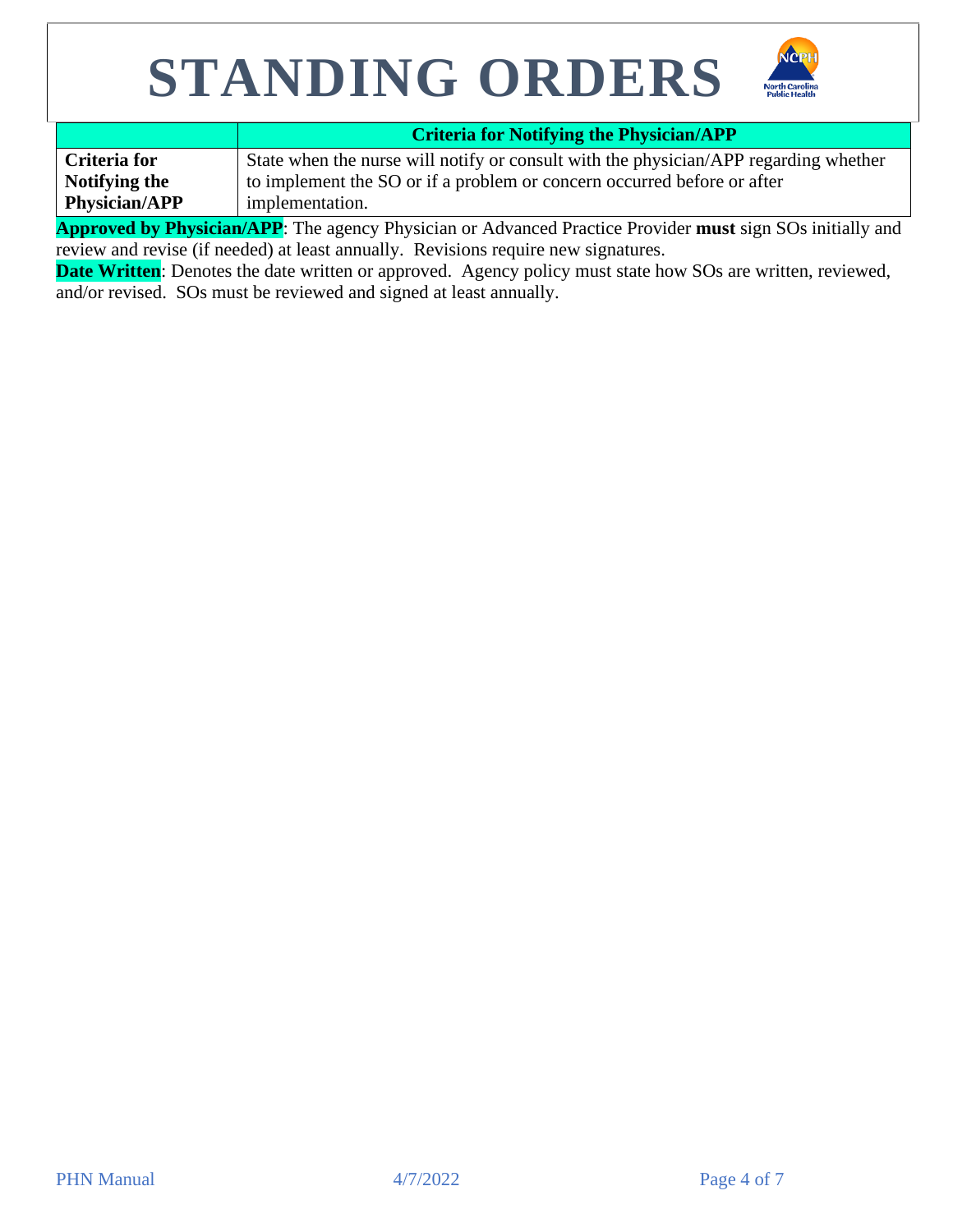



|                      | <b>Criteria for Notifying the Physician/APP</b>                                      |
|----------------------|--------------------------------------------------------------------------------------|
| Criteria for         | State when the nurse will notify or consult with the physician/APP regarding whether |
| Notifying the        | to implement the SO or if a problem or concern occurred before or after              |
| <b>Physician/APP</b> | implementation.                                                                      |

**Approved by Physician/APP**: The agency Physician or Advanced Practice Provider **must** sign SOs initially and review and revise (if needed) at least annually. Revisions require new signatures.

**Date Written:** Denotes the date written or approved. Agency policy must state how SOs are written, reviewed, and/or revised. SOs must be reviewed and signed at least annually.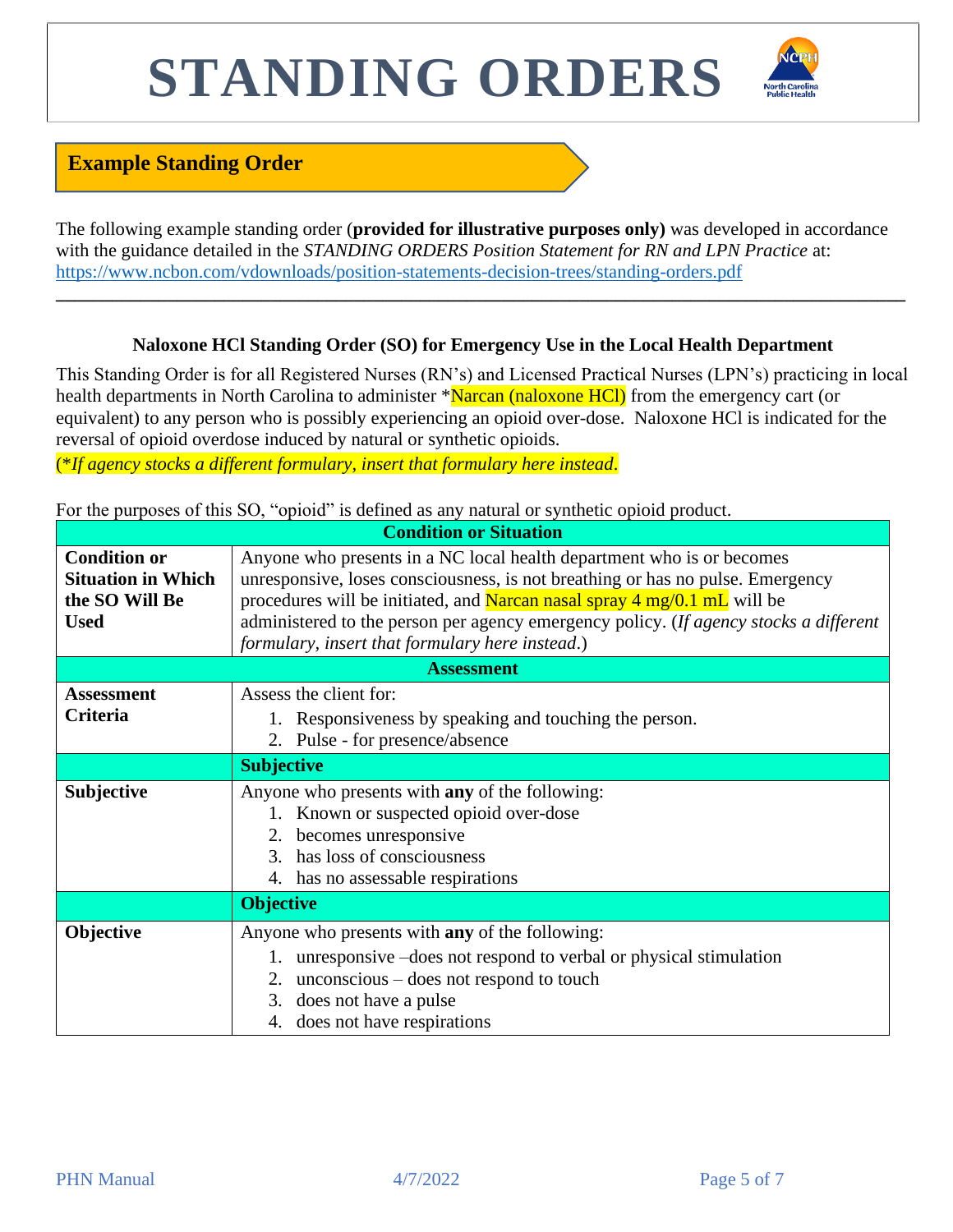

### **Example Standing Order**

The following example standing order (**provided for illustrative purposes only)** was developed in accordance with the guidance detailed in the *STANDING ORDERS Position Statement for RN and LPN Practice* at: <https://www.ncbon.com/vdownloads/position-statements-decision-trees/standing-orders.pdf>

#### **Naloxone HCl Standing Order (SO) for Emergency Use in the Local Health Department**

**\_\_\_\_\_\_\_\_\_\_\_\_\_\_\_\_\_\_\_\_\_\_\_\_\_\_\_\_\_\_\_\_\_\_\_\_\_\_\_\_\_\_\_\_\_\_\_\_\_\_\_\_\_\_\_\_\_\_\_\_\_\_\_\_\_\_\_\_\_\_\_\_\_\_\_\_\_\_\_\_\_\_\_\_\_\_\_\_\_\_\_**

This Standing Order is for all Registered Nurses (RN's) and Licensed Practical Nurses (LPN's) practicing in local health departments in North Carolina to administer \*Narcan (naloxone HCl) from the emergency cart (or equivalent) to any person who is possibly experiencing an opioid over-dose. Naloxone HCl is indicated for the reversal of opioid overdose induced by natural or synthetic opioids.

(\**If agency stocks a different formulary, insert that formulary here instead*.

|  |  | For the purposes of this SO, "opioid" is defined as any natural or synthetic opioid product. |  |  |  |
|--|--|----------------------------------------------------------------------------------------------|--|--|--|
|  |  |                                                                                              |  |  |  |

| <b>Condition or Situation</b>                                                     |                                                                                                                                                                                                                                                                                                                                                                                 |  |  |  |  |
|-----------------------------------------------------------------------------------|---------------------------------------------------------------------------------------------------------------------------------------------------------------------------------------------------------------------------------------------------------------------------------------------------------------------------------------------------------------------------------|--|--|--|--|
| <b>Condition or</b><br><b>Situation in Which</b><br>the SO Will Be<br><b>Used</b> | Anyone who presents in a NC local health department who is or becomes<br>unresponsive, loses consciousness, is not breathing or has no pulse. Emergency<br>procedures will be initiated, and Narcan nasal spray 4 mg/0.1 mL will be<br>administered to the person per agency emergency policy. (If agency stocks a different<br>formulary, insert that formulary here instead.) |  |  |  |  |
| <b>Assessment</b>                                                                 |                                                                                                                                                                                                                                                                                                                                                                                 |  |  |  |  |
| <b>Assessment</b><br>Criteria                                                     | Assess the client for:<br>1. Responsiveness by speaking and touching the person.<br>2. Pulse - for presence/absence                                                                                                                                                                                                                                                             |  |  |  |  |
|                                                                                   | <b>Subjective</b>                                                                                                                                                                                                                                                                                                                                                               |  |  |  |  |
| Subjective                                                                        | Anyone who presents with any of the following:<br>1. Known or suspected opioid over-dose<br>2. becomes unresponsive<br>has loss of consciousness<br>$\mathcal{R}$<br>4. has no assessable respirations                                                                                                                                                                          |  |  |  |  |
|                                                                                   | <b>Objective</b>                                                                                                                                                                                                                                                                                                                                                                |  |  |  |  |
| Objective                                                                         | Anyone who presents with any of the following:<br>1. unresponsive –does not respond to verbal or physical stimulation<br>2. unconscious $-\text{does not respond to touch}$<br>3. does not have a pulse<br>4. does not have respirations                                                                                                                                        |  |  |  |  |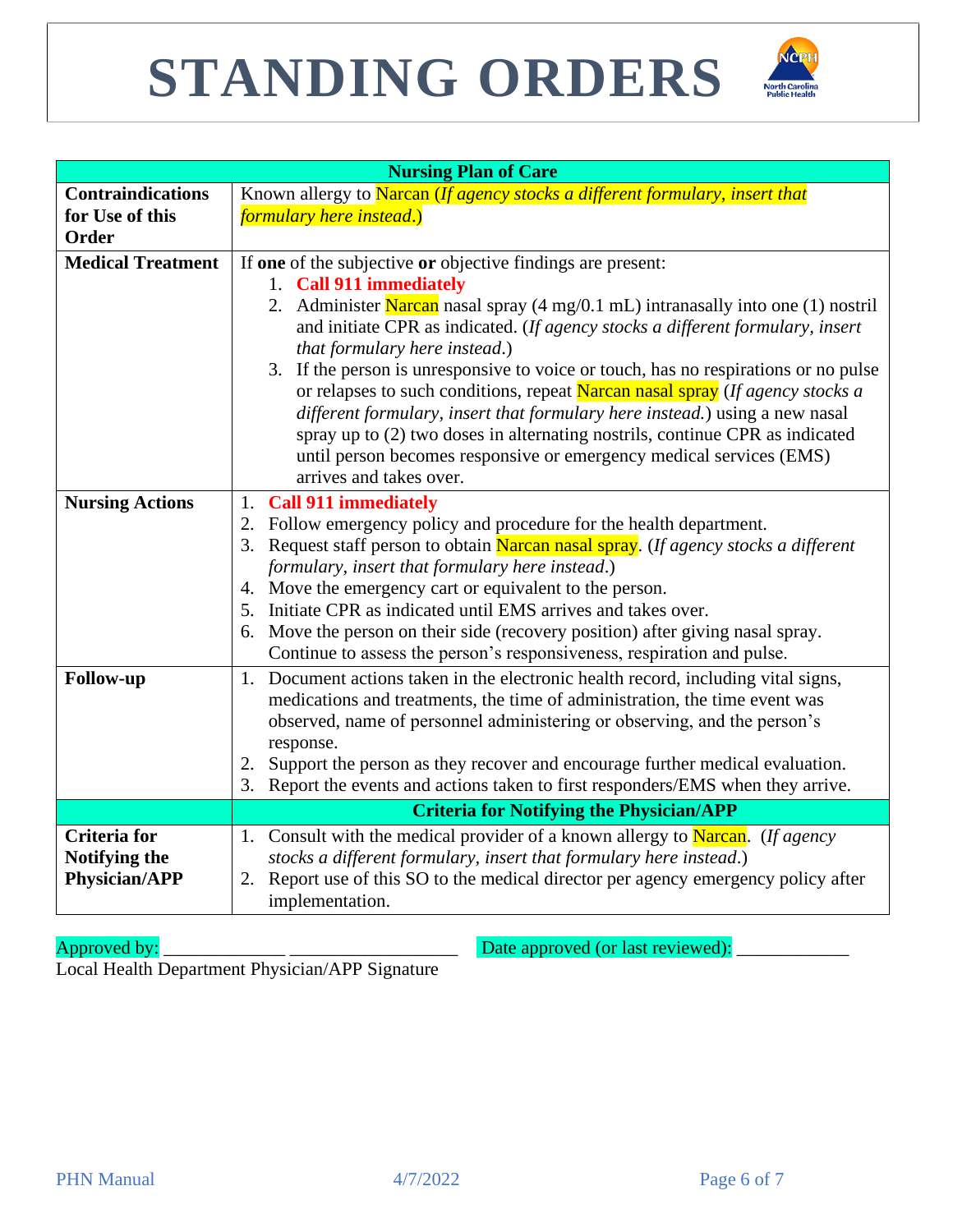

| <b>Nursing Plan of Care</b> |                                                                                                                                                                                                                                                                                                                                                                                                                                       |  |  |  |  |  |
|-----------------------------|---------------------------------------------------------------------------------------------------------------------------------------------------------------------------------------------------------------------------------------------------------------------------------------------------------------------------------------------------------------------------------------------------------------------------------------|--|--|--|--|--|
| <b>Contraindications</b>    | Known allergy to Narcan (If agency stocks a different formulary, insert that                                                                                                                                                                                                                                                                                                                                                          |  |  |  |  |  |
| for Use of this             | <i>formulary here instead.)</i>                                                                                                                                                                                                                                                                                                                                                                                                       |  |  |  |  |  |
| Order                       |                                                                                                                                                                                                                                                                                                                                                                                                                                       |  |  |  |  |  |
| <b>Medical Treatment</b>    | If one of the subjective or objective findings are present:<br>1. Call 911 immediately<br>2. Administer Narcan nasal spray (4 mg/0.1 mL) intranasally into one (1) nostril<br>and initiate CPR as indicated. (If agency stocks a different formulary, insert<br>that formulary here instead.)                                                                                                                                         |  |  |  |  |  |
|                             | 3. If the person is unresponsive to voice or touch, has no respirations or no pulse<br>or relapses to such conditions, repeat Narcan nasal spray (If agency stocks a<br>different formulary, insert that formulary here instead.) using a new nasal<br>spray up to (2) two doses in alternating nostrils, continue CPR as indicated<br>until person becomes responsive or emergency medical services (EMS)<br>arrives and takes over. |  |  |  |  |  |
| <b>Nursing Actions</b>      | 1. Call 911 immediately                                                                                                                                                                                                                                                                                                                                                                                                               |  |  |  |  |  |
|                             | 2. Follow emergency policy and procedure for the health department.                                                                                                                                                                                                                                                                                                                                                                   |  |  |  |  |  |
|                             | 3. Request staff person to obtain Narcan nasal spray. (If agency stocks a different                                                                                                                                                                                                                                                                                                                                                   |  |  |  |  |  |
|                             | formulary, insert that formulary here instead.)                                                                                                                                                                                                                                                                                                                                                                                       |  |  |  |  |  |
|                             | 4. Move the emergency cart or equivalent to the person.                                                                                                                                                                                                                                                                                                                                                                               |  |  |  |  |  |
|                             | 5. Initiate CPR as indicated until EMS arrives and takes over.                                                                                                                                                                                                                                                                                                                                                                        |  |  |  |  |  |
|                             | 6. Move the person on their side (recovery position) after giving nasal spray.                                                                                                                                                                                                                                                                                                                                                        |  |  |  |  |  |
|                             | Continue to assess the person's responsiveness, respiration and pulse.                                                                                                                                                                                                                                                                                                                                                                |  |  |  |  |  |
| <b>Follow-up</b>            | Document actions taken in the electronic health record, including vital signs,<br>1.<br>medications and treatments, the time of administration, the time event was                                                                                                                                                                                                                                                                    |  |  |  |  |  |
|                             | observed, name of personnel administering or observing, and the person's<br>response.                                                                                                                                                                                                                                                                                                                                                 |  |  |  |  |  |
|                             | Support the person as they recover and encourage further medical evaluation.<br>2.                                                                                                                                                                                                                                                                                                                                                    |  |  |  |  |  |
|                             | Report the events and actions taken to first responders/EMS when they arrive.<br>3.                                                                                                                                                                                                                                                                                                                                                   |  |  |  |  |  |
|                             | <b>Criteria for Notifying the Physician/APP</b>                                                                                                                                                                                                                                                                                                                                                                                       |  |  |  |  |  |
| <b>Criteria</b> for         | 1. Consult with the medical provider of a known allergy to Narcan. (If agency                                                                                                                                                                                                                                                                                                                                                         |  |  |  |  |  |
| Notifying the               | stocks a different formulary, insert that formulary here instead.)                                                                                                                                                                                                                                                                                                                                                                    |  |  |  |  |  |
| <b>Physician/APP</b>        | Report use of this SO to the medical director per agency emergency policy after<br>2.<br>implementation.                                                                                                                                                                                                                                                                                                                              |  |  |  |  |  |

Approved by: \_\_\_\_\_\_\_\_\_\_\_\_\_ \_\_\_\_\_\_\_\_\_\_\_\_\_\_\_\_\_\_ Date approved (or last reviewed): \_\_\_\_\_\_\_\_\_\_\_\_

Local Health Department Physician/APP Signature